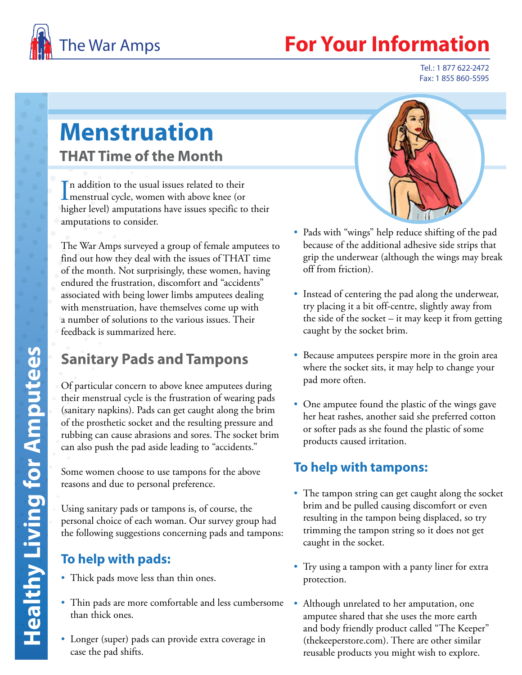

# **Your Information**

Tel.: 1 877 622-2472 Fax: 1 855 860-5595

# **Menstruation THAT Time of the Month**

In addition to the usual issues related to their<br>menstrual cycle, women with above knee (or In addition to the usual issues related to their higher level) amputations have issues specific to their amputations to consider.

The War Amps surveyed a group of female amputees to find out how they deal with the issues of THAT time of the month. Not surprisingly, these women, having endured the frustration, discomfort and "accidents" associated with being lower limbs amputees dealing with menstruation, have themselves come up with a number of solutions to the various issues. Their feedback is summarized here.

# **Sanitary Pads and Tampons**

Of particular concern to above knee amputees during their menstrual cycle is the frustration of wearing pads (sanitary napkins). Pads can get caught along the brim of the prosthetic socket and the resulting pressure and rubbing can cause abrasions and sores. The socket brim can also push the pad aside leading to "accidents."

Some women choose to use tampons for the above reasons and due to personal preference.

Using sanitary pads or tampons is, of course, the personal choice of each woman. Our survey group had the following suggestions concerning pads and tampons:

#### **To help with pads:**

- Thick pads move less than thin ones.
- Thin pads are more comfortable and less cumbersome Although unrelated to her amputation, one than thick ones.
- Longer (super) pads can provide extra coverage in case the pad shifts.



- Pads with "wings" help reduce shifting of the pad because of the additional adhesive side strips that grip the underwear (although the wings may break off from friction).
- Instead of centering the pad along the underwear, try placing it a bit off-centre, slightly away from the side of the socket – it may keep it from getting caught by the socket brim.
- Because amputees perspire more in the groin area where the socket sits, it may help to change your pad more often.
- One amputee found the plastic of the wings gave her heat rashes, another said she preferred cotton or softer pads as she found the plastic of some products caused irritation.

#### **To help with tampons:**

- The tampon string can get caught along the socket brim and be pulled causing discomfort or even resulting in the tampon being displaced, so try trimming the tampon string so it does not get caught in the socket.
- Try using a tampon with a panty liner for extra protection.
- amputee shared that she uses the more earth and body friendly product called "The Keeper" (thekeeperstore.com). There are other similar reusable products you might wish to explore.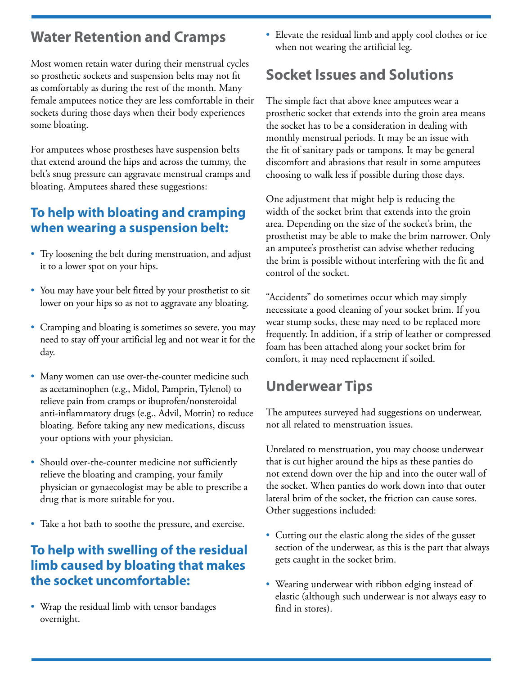## **Water Retention and Cramps**

Most women retain water during their menstrual cycles so prosthetic sockets and suspension belts may not fit as comfortably as during the rest of the month. Many female amputees notice they are less comfortable in their sockets during those days when their body experiences some bloating.

For amputees whose prostheses have suspension belts that extend around the hips and across the tummy, the belt's snug pressure can aggravate menstrual cramps and bloating. Amputees shared these suggestions:

#### **To help with bloating and cramping when wearing a suspension belt:**

- Try loosening the belt during menstruation, and adjust it to a lower spot on your hips.
- You may have your belt fitted by your prosthetist to sit lower on your hips so as not to aggravate any bloating.
- Cramping and bloating is sometimes so severe, you may need to stay off your artificial leg and not wear it for the day.
- Many women can use over-the-counter medicine such as acetaminophen (e.g., Midol, Pamprin, Tylenol) to relieve pain from cramps or ibuprofen/nonsteroidal anti-inflammatory drugs (e.g., Advil, Motrin) to reduce bloating. Before taking any new medications, discuss your options with your physician.
- Should over-the-counter medicine not sufficiently relieve the bloating and cramping, your family physician or gynaecologist may be able to prescribe a drug that is more suitable for you.
- Take a hot bath to soothe the pressure, and exercise.

#### **To help with swelling of the residual limb caused by bloating that makes the socket uncomfortable:**

• Wrap the residual limb with tensor bandages overnight.

• Elevate the residual limb and apply cool clothes or ice when not wearing the artificial leg.

# **Socket Issues and Solutions**

The simple fact that above knee amputees wear a prosthetic socket that extends into the groin area means the socket has to be a consideration in dealing with monthly menstrual periods. It may be an issue with the fit of sanitary pads or tampons. It may be general discomfort and abrasions that result in some amputees choosing to walk less if possible during those days.

One adjustment that might help is reducing the width of the socket brim that extends into the groin area. Depending on the size of the socket's brim, the prosthetist may be able to make the brim narrower. Only an amputee's prosthetist can advise whether reducing the brim is possible without interfering with the fit and control of the socket.

"Accidents" do sometimes occur which may simply necessitate a good cleaning of your socket brim. If you wear stump socks, these may need to be replaced more frequently. In addition, if a strip of leather or compressed foam has been attached along your socket brim for comfort, it may need replacement if soiled.

## **Underwear Tips**

The amputees surveyed had suggestions on underwear, not all related to menstruation issues.

Unrelated to menstruation, you may choose underwear that is cut higher around the hips as these panties do not extend down over the hip and into the outer wall of the socket. When panties do work down into that outer lateral brim of the socket, the friction can cause sores. Other suggestions included:

- Cutting out the elastic along the sides of the gusset section of the underwear, as this is the part that always gets caught in the socket brim.
- Wearing underwear with ribbon edging instead of elastic (although such underwear is not always easy to find in stores).